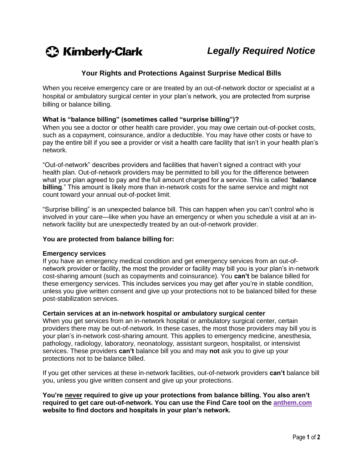

# **Your Rights and Protections Against Surprise Medical Bills**

When you receive emergency care or are treated by an out-of-network doctor or specialist at a hospital or ambulatory surgical center in your plan's network, you are protected from surprise billing or balance billing.

## **What is "balance billing" (sometimes called "surprise billing")?**

When you see a doctor or other health care provider, you may owe certain out-of-pocket costs, such as a copayment, coinsurance, and/or a deductible. You may have other costs or have to pay the entire bill if you see a provider or visit a health care facility that isn't in your health plan's network.

"Out-of-network" describes providers and facilities that haven't signed a contract with your health plan. Out-of-network providers may be permitted to bill you for the difference between what your plan agreed to pay and the full amount charged for a service. This is called "**balance billing**." This amount is likely more than in-network costs for the same service and might not count toward your annual out-of-pocket limit.

"Surprise billing" is an unexpected balance bill. This can happen when you can't control who is involved in your care—like when you have an emergency or when you schedule a visit at an innetwork facility but are unexpectedly treated by an out-of-network provider.

## **You are protected from balance billing for:**

#### **Emergency services**

If you have an emergency medical condition and get emergency services from an out-ofnetwork provider or facility, the most the provider or facility may bill you is your plan's in-network cost-sharing amount (such as copayments and coinsurance). You **can't** be balance billed for these emergency services. This includes services you may get after you're in stable condition, unless you give written consent and give up your protections not to be balanced billed for these post-stabilization services.

## **Certain services at an in-network hospital or ambulatory surgical center**

When you get services from an in-network hospital or ambulatory surgical center, certain providers there may be out-of-network. In these cases, the most those providers may bill you is your plan's in-network cost-sharing amount. This applies to emergency medicine, anesthesia, pathology, radiology, laboratory, neonatology, assistant surgeon, hospitalist, or intensivist services. These providers **can't** balance bill you and may **not** ask you to give up your protections not to be balance billed.

If you get other services at these in-network facilities, out-of-network providers **can't** balance bill you, unless you give written consent and give up your protections.

**You're never required to give up your protections from balance billing. You also aren't required to get care out-of-network. You can use the Find Care tool on the [anthem.com](https://www.anthem.com/) website to find doctors and hospitals in your plan's network.**